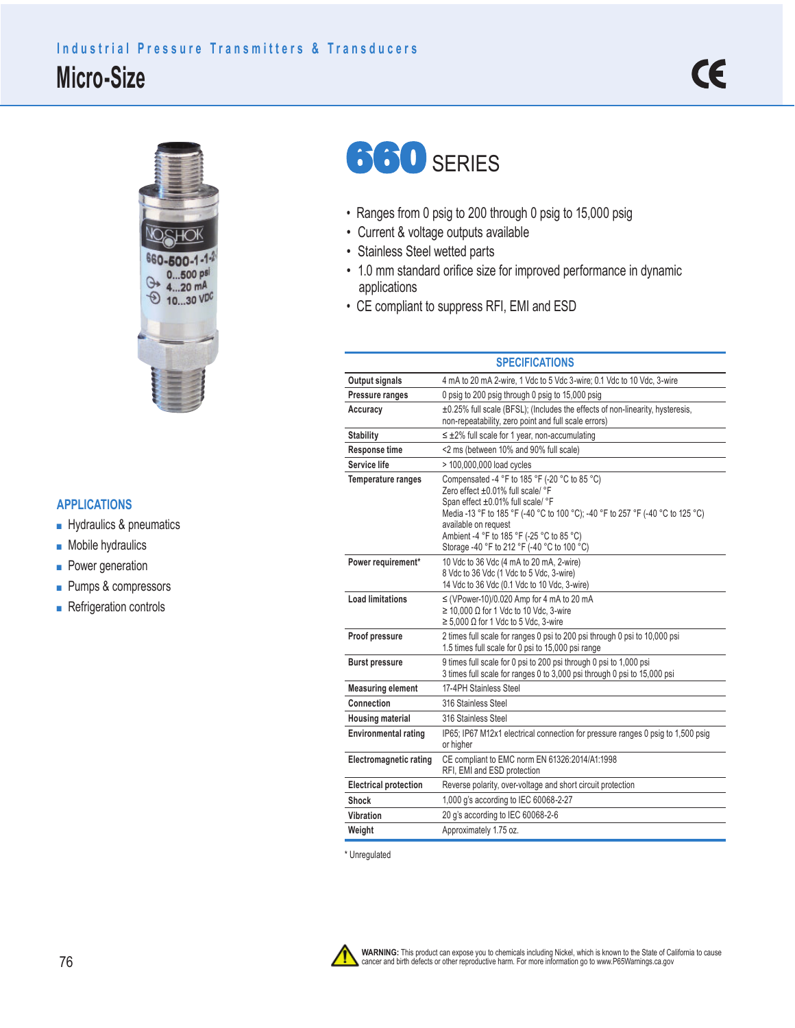## **Micro-Size Industrial Pressure Transmitters & Transducers**



## **APPLICATIONS**

- Hydraulics & pneumatics
- Mobile hydraulics
- Power generation
- Pumps & compressors
- Refrigeration controls

## **660 SERIES**

- Ranges from 0 psig to 200 through 0 psig to 15,000 psig
- Current & voltage outputs available
- Stainless Steel wetted parts
- 1.0 mm standard orifice size for improved performance in dynamic applications
- CE compliant to suppress RFI, EMI and ESD

|                               | <b>SPECIFICATIONS</b>                                                                                                                                                                                                                                                                                                         |
|-------------------------------|-------------------------------------------------------------------------------------------------------------------------------------------------------------------------------------------------------------------------------------------------------------------------------------------------------------------------------|
| Output signals                | 4 mA to 20 mA 2-wire, 1 Vdc to 5 Vdc 3-wire; 0.1 Vdc to 10 Vdc, 3-wire                                                                                                                                                                                                                                                        |
| Pressure ranges               | 0 psig to 200 psig through 0 psig to 15,000 psig                                                                                                                                                                                                                                                                              |
| Accuracy                      | ±0.25% full scale (BFSL); (Includes the effects of non-linearity, hysteresis,<br>non-repeatability, zero point and full scale errors)                                                                                                                                                                                         |
| <b>Stability</b>              | $\leq \pm 2\%$ full scale for 1 year, non-accumulating                                                                                                                                                                                                                                                                        |
| <b>Response time</b>          | <2 ms (between 10% and 90% full scale)                                                                                                                                                                                                                                                                                        |
| Service life                  | > 100,000,000 load cycles                                                                                                                                                                                                                                                                                                     |
| Temperature ranges            | Compensated -4 °F to 185 °F (-20 °C to 85 °C)<br>Zero effect ±0.01% full scale/ °F<br>Span effect ±0.01% full scale/ °F<br>Media -13 °F to 185 °F (-40 °C to 100 °C); -40 °F to 257 °F (-40 °C to 125 °C)<br>available on request<br>Ambient -4 °F to 185 °F (-25 °C to 85 °C)<br>Storage -40 °F to 212 °F (-40 °C to 100 °C) |
| Power requirement*            | 10 Vdc to 36 Vdc (4 mA to 20 mA, 2-wire)<br>8 Vdc to 36 Vdc (1 Vdc to 5 Vdc, 3-wire)<br>14 Vdc to 36 Vdc (0.1 Vdc to 10 Vdc, 3-wire)                                                                                                                                                                                          |
| <b>Load limitations</b>       | $\leq$ (VPower-10)/0.020 Amp for 4 mA to 20 mA<br>$\geq$ 10.000 $\Omega$ for 1 Vdc to 10 Vdc. 3-wire<br>$\geq 5,000 \Omega$ for 1 Vdc to 5 Vdc, 3-wire                                                                                                                                                                        |
| Proof pressure                | 2 times full scale for ranges 0 psi to 200 psi through 0 psi to 10,000 psi<br>1.5 times full scale for 0 psi to 15,000 psi range                                                                                                                                                                                              |
| <b>Burst pressure</b>         | 9 times full scale for 0 psi to 200 psi through 0 psi to 1,000 psi<br>3 times full scale for ranges 0 to 3,000 psi through 0 psi to 15,000 psi                                                                                                                                                                                |
| <b>Measuring element</b>      | 17-4PH Stainless Steel                                                                                                                                                                                                                                                                                                        |
| Connection                    | 316 Stainless Steel                                                                                                                                                                                                                                                                                                           |
| <b>Housing material</b>       | 316 Stainless Steel                                                                                                                                                                                                                                                                                                           |
| <b>Environmental rating</b>   | IP65; IP67 M12x1 electrical connection for pressure ranges 0 psig to 1,500 psig<br>or higher                                                                                                                                                                                                                                  |
| <b>Electromagnetic rating</b> | CE compliant to EMC norm EN 61326:2014/A1:1998<br>RFI, EMI and ESD protection                                                                                                                                                                                                                                                 |
| <b>Electrical protection</b>  | Reverse polarity, over-voltage and short circuit protection                                                                                                                                                                                                                                                                   |
| Shock                         | 1,000 q's according to IEC 60068-2-27                                                                                                                                                                                                                                                                                         |
| Vibration                     | 20 q's according to IEC 60068-2-6                                                                                                                                                                                                                                                                                             |
| Weight                        | Approximately 1.75 oz.                                                                                                                                                                                                                                                                                                        |

\* Unregulated